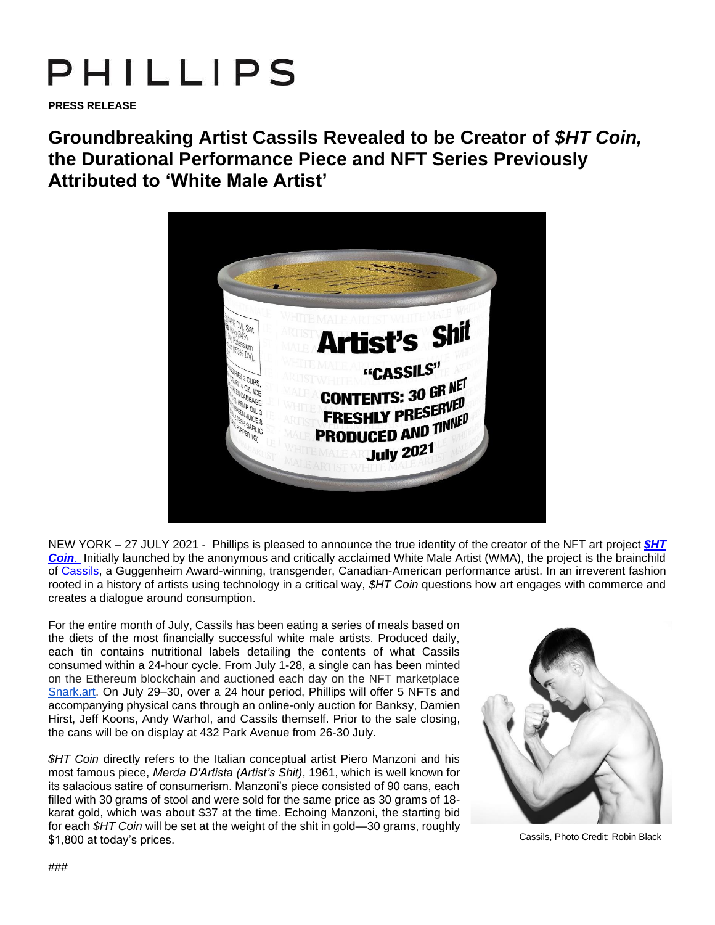## PHILLIPS

**PRESS RELEASE** 

**Groundbreaking Artist Cassils Revealed to be Creator of** *\$HT Coin,* **the Durational Performance Piece and NFT Series Previously Attributed to 'White Male Artist'**



NEW YORK – 27 JULY 2021 - Phillips is pleased to announce the true identity of the creator of the NFT art project *[\\$HT](http://www.phillips.com/whitemaleartist)  [Coin](http://www.phillips.com/whitemaleartist)*. Initially launched by the anonymous and critically acclaimed White Male Artist (WMA), the project is the brainchild of [Cassils,](https://www.cassils.net/) a Guggenheim Award-winning, transgender, Canadian-American performance artist. In an irreverent fashion rooted in a history of artists using technology in a critical way, *\$HT Coin* questions how art engages with commerce and creates a dialogue around consumption.

For the entire month of July, Cassils has been eating a series of meals based on the diets of the most financially successful white male artists. Produced daily, each tin contains nutritional labels detailing the contents of what Cassils consumed within a 24-hour cycle. From July 1-28, a single can has been minted on the Ethereum blockchain and auctioned each day on the NFT marketplac[e](https://snark.art/) [Snark.art.](https://snark.art/) On July 29–30, over a 24 hour period, Phillips will offer 5 NFTs and accompanying physical cans through an online-only auction for Banksy, Damien Hirst, Jeff Koons, Andy Warhol, and Cassils themself. Prior to the sale closing, the cans will be on display at 432 Park Avenue from 26-30 July.

*\$HT Coin* directly refers to the Italian conceptual artist Piero Manzoni and his most famous piece, *Merda D'Artista (Artist's Shit)*, 1961, which is well known for its salacious satire of consumerism. Manzoni's piece consisted of 90 cans, each filled with 30 grams of stool and were sold for the same price as 30 grams of 18 karat gold, which was about \$37 at the time. Echoing Manzoni, the starting bid for each *\$HT Coin* will be set at the weight of the shit in gold—30 grams, roughly \$1,800 at today's prices.



Cassils, Photo Credit: Robin Black